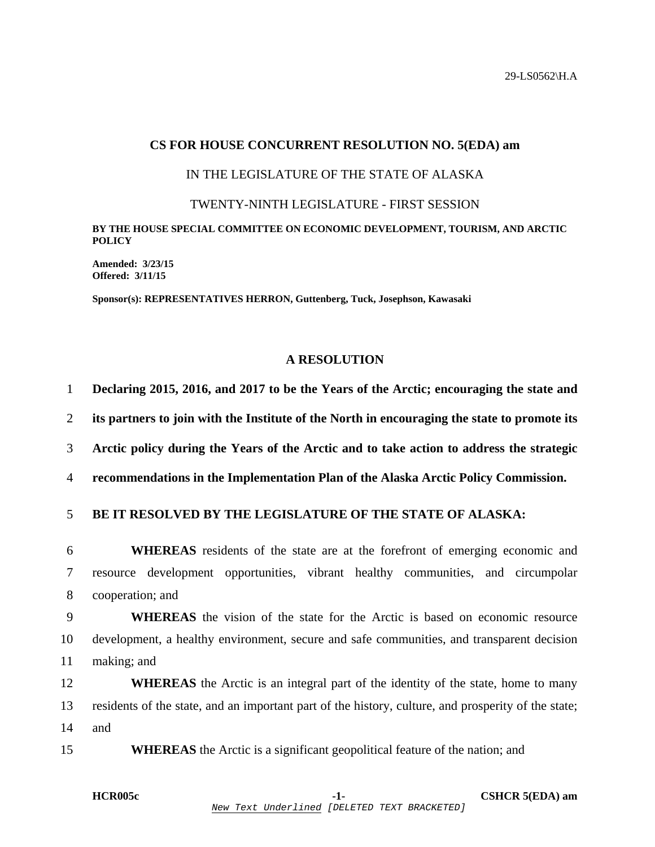## **CS FOR HOUSE CONCURRENT RESOLUTION NO. 5(EDA) am**

# IN THE LEGISLATURE OF THE STATE OF ALASKA

#### TWENTY-NINTH LEGISLATURE - FIRST SESSION

### **BY THE HOUSE SPECIAL COMMITTEE ON ECONOMIC DEVELOPMENT, TOURISM, AND ARCTIC POLICY**

**Amended: 3/23/15 Offered: 3/11/15** 

**Sponsor(s): REPRESENTATIVES HERRON, Guttenberg, Tuck, Josephson, Kawasaki** 

## **A RESOLUTION**

| $\mathbf{1}$   | Declaring 2015, 2016, and 2017 to be the Years of the Arctic; encouraging the state and             |
|----------------|-----------------------------------------------------------------------------------------------------|
| $\overline{2}$ | its partners to join with the Institute of the North in encouraging the state to promote its        |
| 3              | Arctic policy during the Years of the Arctic and to take action to address the strategic            |
| $\overline{4}$ | recommendations in the Implementation Plan of the Alaska Arctic Policy Commission.                  |
| 5              | BE IT RESOLVED BY THE LEGISLATURE OF THE STATE OF ALASKA:                                           |
| 6              | <b>WHEREAS</b> residents of the state are at the forefront of emerging economic and                 |
| $\tau$         | resource development opportunities, vibrant healthy communities, and circumpolar                    |
| 8              | cooperation; and                                                                                    |
| 9              | <b>WHEREAS</b> the vision of the state for the Arctic is based on economic resource                 |
| 10             | development, a healthy environment, secure and safe communities, and transparent decision           |
| 11             | making; and                                                                                         |
| 12             | <b>WHEREAS</b> the Arctic is an integral part of the identity of the state, home to many            |
| 13             | residents of the state, and an important part of the history, culture, and prosperity of the state; |
| 14             | and                                                                                                 |
| 15             | <b>WHEREAS</b> the Arctic is a significant geopolitical feature of the nation; and                  |